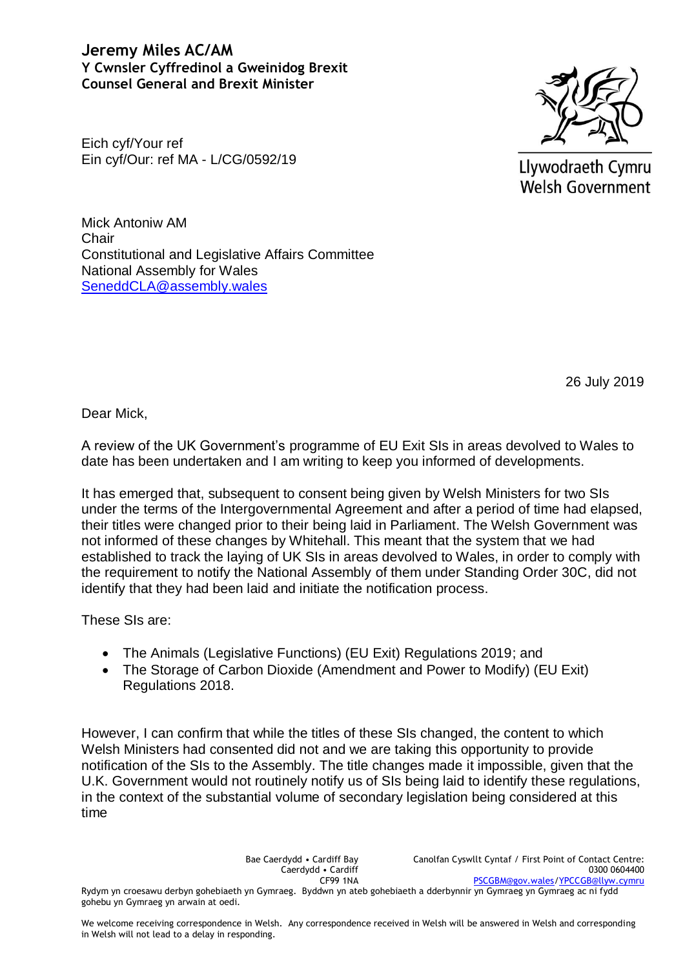**Jeremy Miles AC/AM Y Cwnsler Cyffredinol a Gweinidog Brexit Counsel General and Brexit Minister**

Eich cyf/Your ref Ein cyf/Our: ref MA - L/CG/0592/19



Llywodraeth Cymru **Welsh Government** 

Mick Antoniw AM **Chair** Constitutional and Legislative Affairs Committee National Assembly for Wales [SeneddCLA@assembly.wales](mailto:SeneddCLA@assembly.wales)

26 July 2019

Dear Mick,

A review of the UK Government's programme of EU Exit SIs in areas devolved to Wales to date has been undertaken and I am writing to keep you informed of developments.

It has emerged that, subsequent to consent being given by Welsh Ministers for two SIs under the terms of the Intergovernmental Agreement and after a period of time had elapsed, their titles were changed prior to their being laid in Parliament. The Welsh Government was not informed of these changes by Whitehall. This meant that the system that we had established to track the laying of UK SIs in areas devolved to Wales, in order to comply with the requirement to notify the National Assembly of them under Standing Order 30C, did not identify that they had been laid and initiate the notification process.

These SIs are:

- The Animals (Legislative Functions) (EU Exit) Regulations 2019; and
- The Storage of Carbon Dioxide (Amendment and Power to Modify) (EU Exit) Regulations 2018.

However, I can confirm that while the titles of these SIs changed, the content to which Welsh Ministers had consented did not and we are taking this opportunity to provide notification of the SIs to the Assembly. The title changes made it impossible, given that the U.K. Government would not routinely notify us of SIs being laid to identify these regulations, in the context of the substantial volume of secondary legislation being considered at this time

Bae Caerdydd • Cardiff Bay Caerdydd • Cardiff CF99 1NA Canolfan Cyswllt Cyntaf / First Point of Contact Centre: 0300 0604400 [PSCGBM@gov.wales](mailto:PSCGBM@gov.wales)[/YPCCGB@llyw.cymru](mailto:YPCCGB@llyw.cymru) Rydym yn croesawu derbyn gohebiaeth yn Gymraeg. Byddwn yn ateb gohebiaeth a dderbynnir yn Gymraeg yn Gymraeg ac ni fydd gohebu yn Gymraeg yn arwain at oedi.

We welcome receiving correspondence in Welsh. Any correspondence received in Welsh will be answered in Welsh and corresponding in Welsh will not lead to a delay in responding.